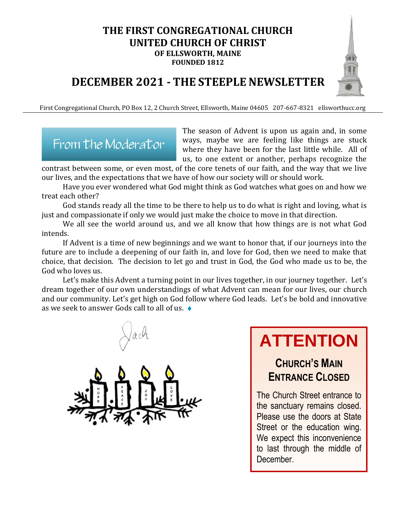# **THE FIRST CONGREGATIONAL CHURCH UNITED CHURCH OF CHRIST OF ELLSWORTH, MAINE**

**FOUNDED 1812**

# **DECEMBER 2021 - THE STEEPLE NEWSLETTER**

First Congregational Church, PO Box 12, 2 Church Street, Ellsworth, Maine 04605 207-667-8321 ellsworthucc.org



The season of Advent is upon us again and, in some ways, maybe we are feeling like things are stuck where they have been for the last little while. All of us, to one extent or another, perhaps recognize the

contrast between some, or even most, of the core tenets of our faith, and the way that we live our lives, and the expectations that we have of how our society will or should work.

Have you ever wondered what God might think as God watches what goes on and how we treat each other?

God stands ready all the time to be there to help us to do what is right and loving, what is just and compassionate if only we would just make the choice to move in that direction.

We all see the world around us, and we all know that how things are is not what God intends.

If Advent is a time of new beginnings and we want to honor that, if our journeys into the future are to include a deepening of our faith in, and love for God, then we need to make that choice, that decision. The decision to let go and trust in God, the God who made us to be, the God who loves us.

Let's make this Advent a turning point in our lives together, in our journey together. Let's dream together of our own understandings of what Advent can mean for our lives, our church and our community. Let's get high on God follow where God leads. Let's be bold and innovative as we seek to answer Gods call to all of us. ♦

# **ATTENTION**

# **CHURCH'S MAIN ENTRANCE CLOSED**

The Church Street entrance to the sanctuary remains closed. Please use the doors at State Street or the education wing. We expect this inconvenience to last through the middle of December.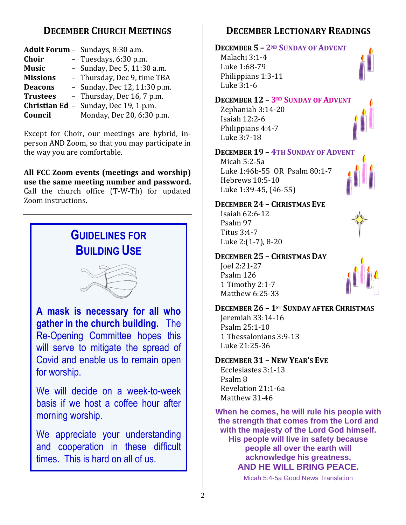# **DECEMBER CHURCH MEETINGS**

|                 | Adult Forum - Sundays, 8:30 a.m.             |
|-----------------|----------------------------------------------|
| <b>Choir</b>    | - Tuesdays, 6:30 p.m.                        |
| <b>Music</b>    | - Sunday, Dec 5, 11:30 a.m.                  |
| <b>Missions</b> | - Thursday, Dec 9, time TBA                  |
| <b>Deacons</b>  | - Sunday, Dec 12, 11:30 p.m.                 |
| <b>Trustees</b> | - Thursday, Dec 16, 7 p.m.                   |
|                 | <b>Christian Ed</b> - Sunday, Dec 19, 1 p.m. |
| Council         | Monday, Dec 20, 6:30 p.m.                    |

Except for Choir, our meetings are hybrid, inperson AND Zoom, so that you may participate in the way you are comfortable.

**All FCC Zoom events (meetings and worship) use the same meeting number and password.** Call the church office (T-W-Th) for updated Zoom instructions.



## **DECEMBER LECTIONARY READINGS**

#### **DECEMBER 5 – 2ND SUNDAY OF ADVENT**

Malachi 3:1-4 Luke 1:68-79 Philippians 1:3-11 Luke 3:1-6

#### **DECEMBER 12 – 3RD SUNDAY OF ADVENT**

Zephaniah 3:14-20 Isaiah 12:2-6 Philippians 4:4-7 Luke 3:7-18

#### **DECEMBER 19 – 4TH SUNDAY OF ADVENT**

Micah 5:2-5a Luke 1:46b-55 OR Psalm 80:1-7 Hebrews 10:5-10 Luke 1:39-45, (46-55)

#### **DECEMBER 24 – CHRISTMAS EVE**

Isaiah 62:6-12 Psalm 97 Titus 3:4-7 Luke 2:(1-7), 8-20

#### **DECEMBER 25 – CHRISTMAS DAY**

Joel 2:21-27 Psalm 126 1 Timothy 2:1-7 Matthew 6:25-33



#### **DECEMBER 26 – 1ST SUNDAY AFTER CHRISTMAS**

Jeremiah 33:14-16 Psalm 25:1-10 1 Thessalonians 3:9-13 Luke 21:25-36

#### **DECEMBER 31 – NEW YEAR'S EVE**

Ecclesiastes 3:1-13 Psalm 8 Revelation 21:1-6a Matthew 31-46

**When he comes, he will rule his people with the strength that comes from the Lord and with the majesty of the Lord God himself. His people will live in safety because people all over the earth will acknowledge his greatness, AND HE WILL BRING PEACE.**

Micah 5:4-5a Good News Translation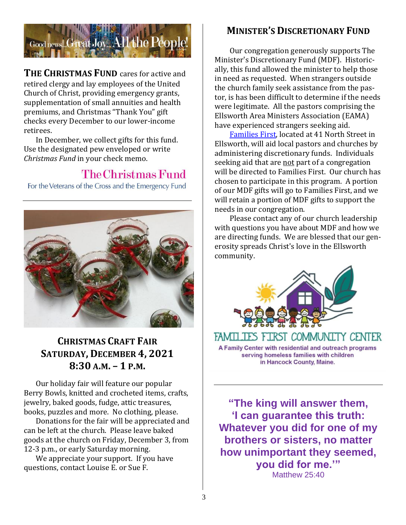

**THE CHRISTMAS FUND** cares for active and retired clergy and lay employees of the United Church of Christ, providing emergency grants, supplementation of small annuities and health premiums, and Christmas "Thank You" gift checks every December to our lower-income retirees.

In December, we collect gifts for this fund. Use the designated pew enveloped or write *Christmas Fund* in your check memo.

# The Christmas Fund

For the Veterans of the Cross and the Emergency Fund



# **CHRISTMAS CRAFT FAIR SATURDAY, DECEMBER 4, 2021 8:30 A.M. – 1 P.M.**

Our holiday fair will feature our popular Berry Bowls, knitted and crocheted items, crafts, jewelry, baked goods, fudge, attic treasures, books, puzzles and more. No clothing, please.

Donations for the fair will be appreciated and can be left at the church. Please leave baked goods at the church on Friday, December 3, from 12-3 p.m., or early Saturday morning.

We appreciate your support. If you have questions, contact Louise E. or Sue F.

### **MINISTER'S DISCRETIONARY FUND**

Our congregation generously supports The Minister's Discretionary Fund (MDF). Historically, this fund allowed the minister to help those in need as requested. When strangers outside the church family seek assistance from the pastor, is has been difficult to determine if the needs were legitimate. All the pastors comprising the Ellsworth Area Ministers Association (EAMA) have experienced strangers seeking aid.

[Families First,](https://familiesfirstellsworth.org/) located at 41 North Street in Ellsworth, will aid local pastors and churches by administering discretionary funds. Individuals seeking aid that are not part of a congregation will be directed to Families First. Our church has chosen to participate in this program. A portion of our MDF gifts will go to Families First, and we will retain a portion of MDF gifts to support the needs in our congregation.

Please contact any of our church leadership with questions you have about MDF and how we are directing funds. We are blessed that our generosity spreads Christ's love in the Ellsworth community.



FAMILIES FIRST COMMUNITY CENTER A Family Center with residential and outreach programs serving homeless families with children in Hancock County, Maine.

**"The king will answer them, 'I can guarantee this truth: Whatever you did for one of my brothers or sisters, no matter how unimportant they seemed, you did for me.'"** Matthew 25:40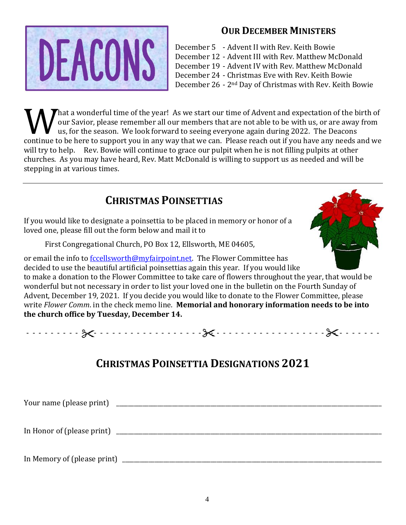

### **OUR DECEMBER MINISTERS**

- December 5 Advent II with Rev. Keith Bowie
- December 12 Advent III with Rev. Matthew McDonald
- December 19 Advent IV with Rev. Matthew McDonald
- December 24 Christmas Eve with Rev. Keith Bowie

December 26 - 2nd Day of Christmas with Rev. Keith Bowie

That a wonderful time of the year! As we start our time of Advent and expectation of the birth of our Savior, please remember all our members that are not able to be with us, or are away from us, for the season. We look forward to seeing everyone again during 2022. The Deacons What a wonderful time of the year! As we start our time of Advent and expectation of the birth of our Savior, please remember all our members that are not able to be with us, or are away from us, for the season. We look fo will try to help. Rev. Bowie will continue to grace our pulpit when he is not filling pulpits at other churches. As you may have heard, Rev. Matt McDonald is willing to support us as needed and will be stepping in at various times.

# **CHRISTMAS POINSETTIAS**

If you would like to designate a poinsettia to be placed in memory or honor of a loved one, please fill out the form below and mail it to

First Congregational Church, PO Box 12, Ellsworth, ME 04605,



or email the info to **fccellsworth@myfairpoint.net**. The Flower Committee has decided to use the beautiful artificial poinsettias again this year. If you would like to make a donation to the Flower Committee to take care of flowers throughout the year, that would be wonderful but not necessary in order to list your loved one in the bulletin on the Fourth Sunday of Advent, December 19, 2021. If you decide you would like to donate to the Flower Committee, please write *Flower Comm*. in the check memo line. **Memorial and honorary information needs to be into the church office by Tuesday, December 14.** 

- - - - - - - - - - - - - - - - - - - - - - - - - - - - - - - - - - - - - - - - - - - - - - - - - - - - - - - - - -

# **CHRISTMAS POINSETTIA DESIGNATIONS 2021**

| Your name (please print)    |  |
|-----------------------------|--|
| In Honor of (please print)  |  |
| In Memory of (please print) |  |